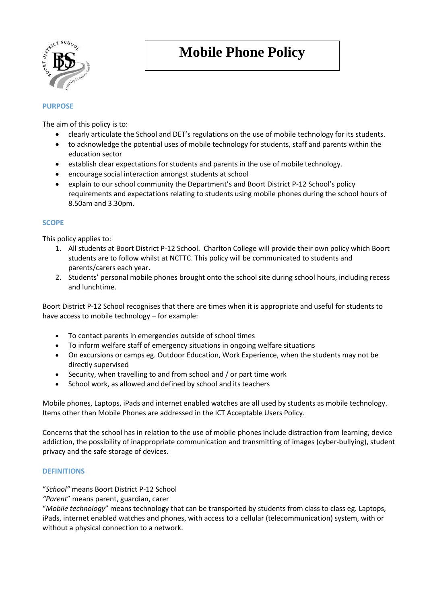

# **Mobile Phone Policy**

# **PURPOSE**

The aim of this policy is to:

- clearly articulate the School and DET's regulations on the use of mobile technology for its students.
- to acknowledge the potential uses of mobile technology for students, staff and parents within the education sector
- establish clear expectations for students and parents in the use of mobile technology.
- encourage social interaction amongst students at school
- explain to our school community the Department's and Boort District P-12 School's policy requirements and expectations relating to students using mobile phones during the school hours of 8.50am and 3.30pm.

# **SCOPE**

This policy applies to:

- 1. All students at Boort District P-12 School. Charlton College will provide their own policy which Boort students are to follow whilst at NCTTC. This policy will be communicated to students and parents/carers each year.
- 2. Students' personal mobile phones brought onto the school site during school hours, including recess and lunchtime.

Boort District P-12 School recognises that there are times when it is appropriate and useful for students to have access to mobile technology – for example:

- To contact parents in emergencies outside of school times
- To inform welfare staff of emergency situations in ongoing welfare situations
- On excursions or camps eg. Outdoor Education, Work Experience, when the students may not be directly supervised
- Security, when travelling to and from school and / or part time work
- School work, as allowed and defined by school and its teachers

Mobile phones, Laptops, iPads and internet enabled watches are all used by students as mobile technology. Items other than Mobile Phones are addressed in the ICT Acceptable Users Policy.

Concerns that the school has in relation to the use of mobile phones include distraction from learning, device addiction, the possibility of inappropriate communication and transmitting of images (cyber-bullying), student privacy and the safe storage of devices.

# **DEFINITIONS**

"*School"* means Boort District P-12 School

*"Parent*" means parent, guardian, carer

"*Mobile technology*" means technology that can be transported by students from class to class eg. Laptops, iPads, internet enabled watches and phones, with access to a cellular (telecommunication) system, with or without a physical connection to a network.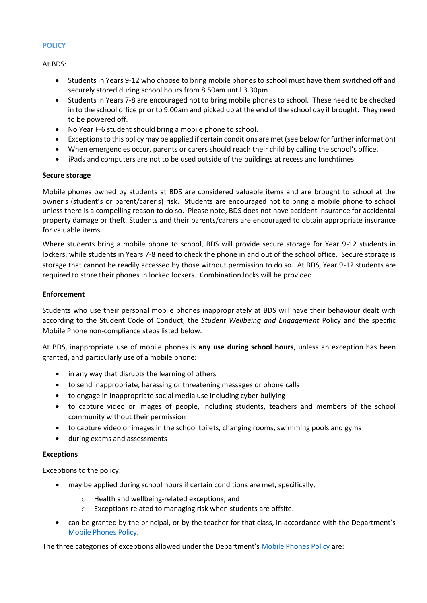## **POLICY**

At BDS:

- Students in Years 9-12 who choose to bring mobile phones to school must have them switched off and securely stored during school hours from 8.50am until 3.30pm
- Students in Years 7-8 are encouraged not to bring mobile phones to school. These need to be checked in to the school office prior to 9.00am and picked up at the end of the school day if brought. They need to be powered off.
- No Year F-6 student should bring a mobile phone to school.
- Exceptions to this policy may be applied if certain conditions are met (see below for further information)
- When emergencies occur, parents or carers should reach their child by calling the school's office.
- iPads and computers are not to be used outside of the buildings at recess and lunchtimes

## **Secure storage**

Mobile phones owned by students at BDS are considered valuable items and are brought to school at the owner's (student's or parent/carer's) risk. Students are encouraged not to bring a mobile phone to school unless there is a compelling reason to do so. Please note, BDS does not have accident insurance for accidental property damage or theft. Students and their parents/carers are encouraged to obtain appropriate insurance for valuable items.

Where students bring a mobile phone to school, BDS will provide secure storage for Year 9-12 students in lockers, while students in Years 7-8 need to check the phone in and out of the school office. Secure storage is storage that cannot be readily accessed by those without permission to do so. At BDS, Year 9-12 students are required to store their phones in locked lockers. Combination locks will be provided.

# **Enforcement**

Students who use their personal mobile phones inappropriately at BDS will have their behaviour dealt with according to the Student Code of Conduct, the *Student Wellbeing and Engagement* Policy and the specific Mobile Phone non-compliance steps listed below.

At BDS, inappropriate use of mobile phones is **any use during school hours**, unless an exception has been granted, and particularly use of a mobile phone:

- in any way that disrupts the learning of others
- to send inappropriate, harassing or threatening messages or phone calls
- to engage in inappropriate social media use including cyber bullying
- to capture video or images of people, including students, teachers and members of the school community without their permission
- to capture video or images in the school toilets, changing rooms, swimming pools and gyms
- during exams and assessments

## **Exceptions**

Exceptions to the policy:

- may be applied during school hours if certain conditions are met, specifically,
	- o Health and wellbeing-related exceptions; and
	- o Exceptions related to managing risk when students are offsite.
- can be granted by the principal, or by the teacher for that class, in accordance with the Department's [Mobile Phones Policy.](https://www.education.vic.gov.au/school/principals/spag/safety/Pages/mobilephones.aspx)

The three categories of exceptions allowed under the Department's [Mobile Phones Policy](https://www.education.vic.gov.au/school/principals/spag/safety/Pages/mobilephones.aspx) are: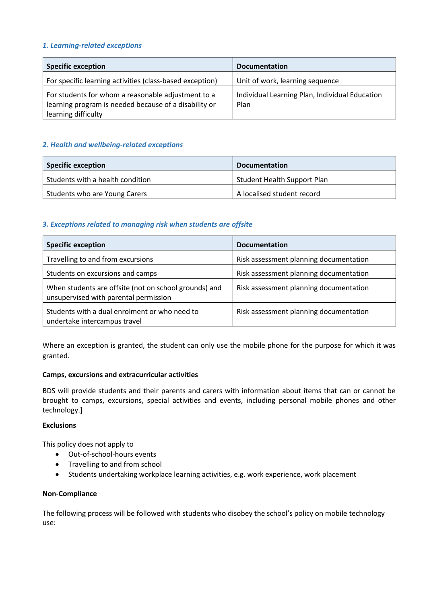# *1. Learning-related exceptions*

| <b>Specific exception</b>                                                                                                          | <b>Documentation</b>                                   |
|------------------------------------------------------------------------------------------------------------------------------------|--------------------------------------------------------|
| For specific learning activities (class-based exception)                                                                           | Unit of work, learning sequence                        |
| For students for whom a reasonable adjustment to a<br>learning program is needed because of a disability or<br>learning difficulty | Individual Learning Plan, Individual Education<br>Plan |

# *2. Health and wellbeing-related exceptions*

| <b>Specific exception</b>        | <b>Documentation</b>               |
|----------------------------------|------------------------------------|
| Students with a health condition | <b>Student Health Support Plan</b> |
| Students who are Young Carers    | A localised student record         |

# *3. Exceptions related to managing risk when students are offsite*

| <b>Specific exception</b>                                                                      | <b>Documentation</b>                   |
|------------------------------------------------------------------------------------------------|----------------------------------------|
| Travelling to and from excursions                                                              | Risk assessment planning documentation |
| Students on excursions and camps                                                               | Risk assessment planning documentation |
| When students are offsite (not on school grounds) and<br>unsupervised with parental permission | Risk assessment planning documentation |
| Students with a dual enrolment or who need to<br>undertake intercampus travel                  | Risk assessment planning documentation |

Where an exception is granted, the student can only use the mobile phone for the purpose for which it was granted.

## **Camps, excursions and extracurricular activities**

BDS will provide students and their parents and carers with information about items that can or cannot be brought to camps, excursions, special activities and events, including personal mobile phones and other technology.]

## **Exclusions**

This policy does not apply to

- Out-of-school-hours events
- Travelling to and from school
- Students undertaking workplace learning activities, e.g. work experience, work placement

## **Non-Compliance**

The following process will be followed with students who disobey the school's policy on mobile technology use: